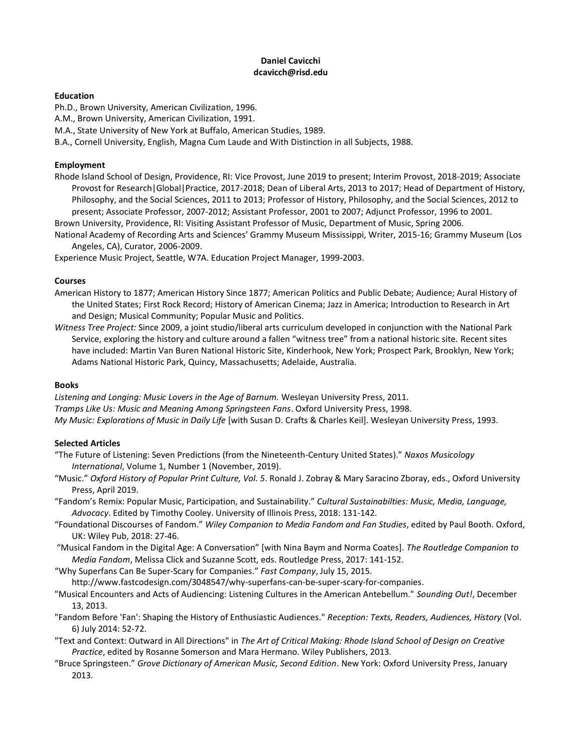# **Daniel Cavicchi dcavicch@risd.edu**

#### **Education**

Ph.D., Brown University, American Civilization, 1996.

A.M., Brown University, American Civilization, 1991.

M.A., State University of New York at Buffalo, American Studies, 1989.

B.A., Cornell University, English, Magna Cum Laude and With Distinction in all Subjects, 1988.

# **Employment**

Rhode Island School of Design, Providence, RI: Vice Provost, June 2019 to present; Interim Provost, 2018-2019; Associate Provost for Research|Global|Practice, 2017-2018; Dean of Liberal Arts, 2013 to 2017; Head of Department of History, Philosophy, and the Social Sciences, 2011 to 2013; Professor of History, Philosophy, and the Social Sciences, 2012 to present; Associate Professor, 2007-2012; Assistant Professor, 2001 to 2007; Adjunct Professor, 1996 to 2001.

Brown University, Providence, RI: Visiting Assistant Professor of Music, Department of Music, Spring 2006.

National Academy of Recording Arts and Sciences' Grammy Museum Mississippi, Writer, 2015-16; Grammy Museum (Los Angeles, CA), Curator, 2006-2009.

Experience Music Project, Seattle, W7A. Education Project Manager, 1999-2003.

## **Courses**

American History to 1877; American History Since 1877; American Politics and Public Debate; Audience; Aural History of the United States; First Rock Record; History of American Cinema; Jazz in America; Introduction to Research in Art and Design; Musical Community; Popular Music and Politics.

*Witness Tree Project:* Since 2009, a joint studio/liberal arts curriculum developed in conjunction with the National Park Service, exploring the history and culture around a fallen "witness tree" from a national historic site. Recent sites have included: Martin Van Buren National Historic Site, Kinderhook, New York; Prospect Park, Brooklyn, New York; Adams National Historic Park, Quincy, Massachusetts; Adelaide, Australia.

## **Books**

*Listening and Longing: Music Lovers in the Age of Barnum.* Wesleyan University Press, 2011. *Tramps Like Us: Music and Meaning Among Springsteen Fans*. Oxford University Press, 1998. *My Music: Explorations of Music in Daily Life* [with Susan D. Crafts & Charles Keil]. Wesleyan University Press, 1993.

## **Selected Articles**

- "The Future of Listening: Seven Predictions (from the Nineteenth-Century United States)." *Naxos Musicology International*, Volume 1, Number 1 (November, 2019).
- "Music." *Oxford History of Popular Print Culture, Vol. 5*. Ronald J. Zobray & Mary Saracino Zboray, eds., Oxford University Press, April 2019.
- "Fandom's Remix: Popular Music, Participation, and Sustainability." *Cultural Sustainabilties: Music, Media, Language, Advocacy*. Edited by Timothy Cooley. University of Illinois Press, 2018: 131-142.
- "Foundational Discourses of Fandom." *Wiley Companion to Media Fandom and Fan Studies*, edited by Paul Booth. Oxford, UK: Wiley Pub, 2018: 27-46.
- "Musical Fandom in the Digital Age: A Conversation" [with Nina Baym and Norma Coates]. *The Routledge Companion to Media Fandom*, Melissa Click and Suzanne Scott, eds. Routledge Press, 2017: 141-152.
- "Why Superfans Can Be Super-Scary for Companies." *Fast Company*, July 15, 2015.

http://www.fastcodesign.com/3048547/why-superfans-can-be-super-scary-for-companies.

- "Musical Encounters and Acts of Audiencing: Listening Cultures in the American Antebellum." *Sounding Out!*, December 13, 2013.
- "Fandom Before 'Fan': Shaping the History of Enthusiastic Audiences." *Reception: Texts, Readers, Audiences, History* (Vol. 6) July 2014: 52-72.
- "Text and Context: Outward in All Directions" in *The Art of Critical Making: Rhode Island School of Design on Creative Practice*, edited by Rosanne Somerson and Mara Hermano. Wiley Publishers, 2013.
- "Bruce Springsteen." *Grove Dictionary of American Music, Second Edition*. New York: Oxford University Press, January 2013.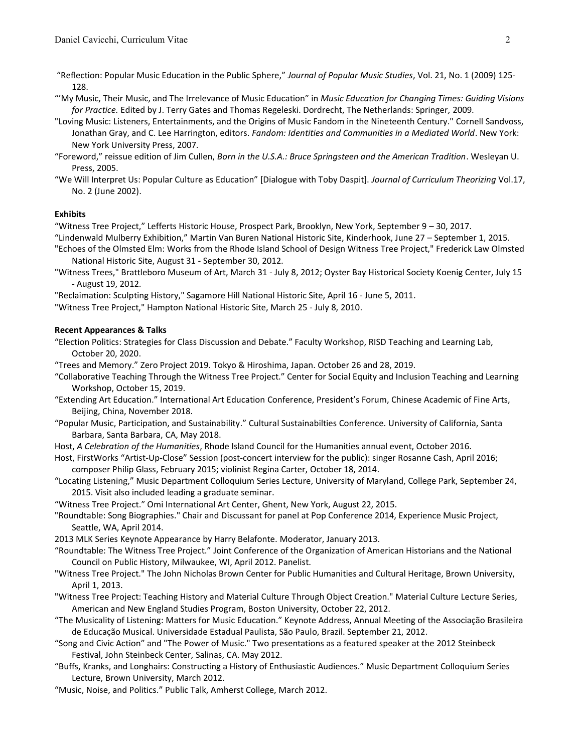- "Reflection: Popular Music Education in the Public Sphere," *Journal of Popular Music Studies*, Vol. 21, No. 1 (2009) 125- 128.
- "'My Music, Their Music, and The Irrelevance of Music Education" in *Music Education for Changing Times: Guiding Visions for Practice.* Edited by J. Terry Gates and Thomas Regeleski. Dordrecht, The Netherlands: Springer*,* 2009.
- "Loving Music: Listeners, Entertainments, and the Origins of Music Fandom in the Nineteenth Century." Cornell Sandvoss, Jonathan Gray, and C. Lee Harrington, editors. *Fandom: Identities and Communities in a Mediated World*. New York: New York University Press, 2007.
- "Foreword," reissue edition of Jim Cullen, *Born in the U.S.A.: Bruce Springsteen and the American Tradition*. Wesleyan U. Press, 2005.
- "We Will Interpret Us: Popular Culture as Education" [Dialogue with Toby Daspit]. *Journal of Curriculum Theorizing* Vol.17, No. 2 (June 2002).

## **Exhibits**

"Witness Tree Project," Lefferts Historic House, Prospect Park, Brooklyn, New York, September 9 – 30, 2017.

- "Lindenwald Mulberry Exhibition," Martin Van Buren National Historic Site, Kinderhook, June 27 September 1, 2015.
- "Echoes of the Olmsted Elm: Works from the Rhode Island School of Design Witness Tree Project," Frederick Law Olmsted National Historic Site, August 31 - September 30, 2012.
- "Witness Trees," Brattleboro Museum of Art, March 31 July 8, 2012; Oyster Bay Historical Society Koenig Center, July 15 - August 19, 2012.
- "Reclaimation: Sculpting History," Sagamore Hill National Historic Site, April 16 June 5, 2011.

"Witness Tree Project," Hampton National Historic Site, March 25 - July 8, 2010.

#### **Recent Appearances & Talks**

- "Election Politics: Strategies for Class Discussion and Debate." Faculty Workshop, RISD Teaching and Learning Lab, October 20, 2020.
- "Trees and Memory." Zero Project 2019. Tokyo & Hiroshima, Japan. October 26 and 28, 2019.
- "Collaborative Teaching Through the Witness Tree Project." Center for Social Equity and Inclusion Teaching and Learning Workshop, October 15, 2019.
- "Extending Art Education." International Art Education Conference, President's Forum, Chinese Academic of Fine Arts, Beijing, China, November 2018.
- "Popular Music, Participation, and Sustainability." Cultural Sustainabilties Conference. University of California, Santa Barbara, Santa Barbara, CA, May 2018.
- Host, *A Celebration of the Humanities*, Rhode Island Council for the Humanities annual event, October 2016.
- Host, FirstWorks "Artist-Up-Close" Session (post-concert interview for the public): singer Rosanne Cash, April 2016; composer Philip Glass, February 2015; violinist Regina Carter, October 18, 2014.
- "Locating Listening," Music Department Colloquium Series Lecture, University of Maryland, College Park, September 24, 2015. Visit also included leading a graduate seminar.

"Witness Tree Project." Omi International Art Center, Ghent, New York, August 22, 2015.

- "Roundtable: Song Biographies." Chair and Discussant for panel at Pop Conference 2014, Experience Music Project, Seattle, WA, April 2014.
- 2013 MLK Series Keynote Appearance by Harry Belafonte. Moderator, January 2013.
- "Roundtable: The Witness Tree Project." Joint Conference of the Organization of American Historians and the National Council on Public History, Milwaukee, WI, April 2012. Panelist.
- "Witness Tree Project." The John Nicholas Brown Center for Public Humanities and Cultural Heritage, Brown University, April 1, 2013.
- "Witness Tree Project: Teaching History and Material Culture Through Object Creation." Material Culture Lecture Series, American and New England Studies Program, Boston University, October 22, 2012.
- "The Musicality of Listening: Matters for Music Education." Keynote Address, Annual Meeting of the Associação Brasileira de Educação Musical. Universidade Estadual Paulista, São Paulo, Brazil. September 21, 2012.
- "Song and Civic Action" and "The Power of Music." Two presentations as a featured speaker at the 2012 Steinbeck Festival, John Steinbeck Center, Salinas, CA. May 2012.
- "Buffs, Kranks, and Longhairs: Constructing a History of Enthusiastic Audiences." Music Department Colloquium Series Lecture, Brown University, March 2012.
- "Music, Noise, and Politics." Public Talk, Amherst College, March 2012.